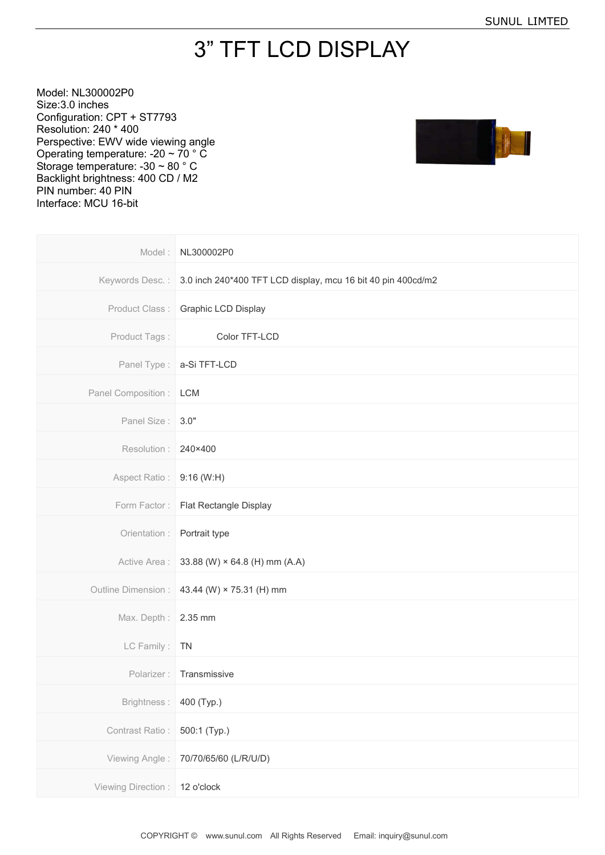## 3" TFT LCD DISPLAY

Model: NL300002P0 Size:3.0 inches Configuration: CPT + ST7793 Resolution: 240 \* 400 Perspective: EWV wide viewing angle Operating temperature: -20 ~ 70 ° C Storage temperature: -30 ~ 80 ° C Backlight brightness: 400 CD / M2 PIN number: 40 PIN Interface: MCU 16-bit



| Model:              | NL300002P0                                                   |
|---------------------|--------------------------------------------------------------|
| Keywords Desc.:     | 3.0 inch 240*400 TFT LCD display, mcu 16 bit 40 pin 400cd/m2 |
| Product Class:      | Graphic LCD Display                                          |
| Product Tags:       | Color TFT-LCD                                                |
|                     | Panel Type:   a-Si TFT-LCD                                   |
| Panel Composition : | <b>LCM</b>                                                   |
| Panel Size: 3.0"    |                                                              |
| Resolution:         | 240×400                                                      |
| Aspect Ratio:       | 9:16 (W:H)                                                   |
| Form Factor:        | Flat Rectangle Display                                       |
| Orientation :       | Portrait type                                                |
| Active Area :       | 33.88 (W) $\times$ 64.8 (H) mm (A.A)                         |
| Outline Dimension : | 43.44 (W) × 75.31 (H) mm                                     |
| Max. Depth:         | 2.35 mm                                                      |
| LC Family:          | <b>TN</b>                                                    |
| Polarizer:          | Transmissive                                                 |
| Brightness:         | 400 (Typ.)                                                   |
| Contrast Ratio:     | 500:1 (Typ.)                                                 |
| Viewing Angle:      | 70/70/65/60 (L/R/U/D)                                        |
| Viewing Direction:  | 12 o'clock                                                   |